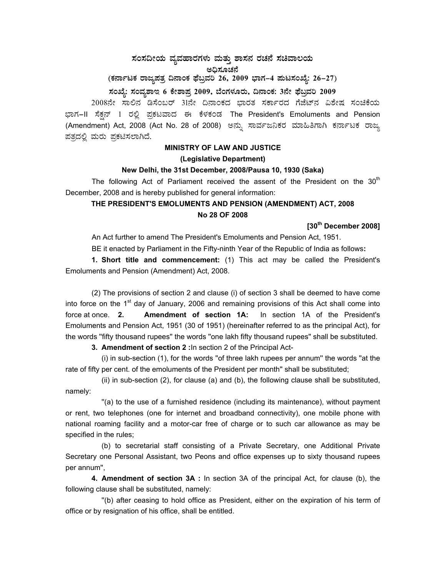# $\vec{a}$ ಸಂಸದೀಯ ವ್ಯವಹಾರಗಳು ಮತ್ತು ಶಾಸನ ರಚನೆ ಸಚಿವಾಲಯ ಅಧಿಸೂಚನೆ (ಕರ್ನಾಟಕ ರಾಜ್ಯಪತ್ರ ದಿನಾಂಕ ಫೆಬ್ರವರಿ 26, 2009 ಭಾಗ–4 **ಮಟಸಂಖ್ಯೆ: 26–27**)

### ಸಂಖ್ಯೆ: ಸಂವ್ಯಶಾಇ 6 ಕೇಶಾಪ್ರ 2009, ಬೆಂಗಳೂರು, ದಿನಾಂಕ: 3ನೇ ಫೆಬ್ರವರಿ 2009

2008ನೇ ಸಾಲಿನ ಡಿಸೆಂಬರ್ 31ನೇ ದಿನಾಂಕದ ಭಾರತ ಸರ್ಕಾರದ ಗೆಜೆಟ್ ವಿಶೇಷ ಸಂಚಿಕೆಯ ಭಾಗ–II ಸೆಕ್ಷನ್ 1 ರಲ್ಲಿ ಪ್ರಕಟವಾದ ಈ ಕೆಳಕಂಡ The President's Emoluments and Pension (Amendment) Act, 2008 (Act No. 28 of 2008) ಅನ್ಸು ಸಾರ್ವಜನಿಕರ ಮಾಹಿತಿಗಾಗಿ ಕರ್ನಾಟಕ ರಾಜ್ಯ ಪತ್ರದಲ್ಲಿ ಮರು ಪ್ರಕಟಿಸಲಾಗಿದೆ.

### **MINISTRY OF LAW AND JUSTICE (Legislative Department)**

#### **New Delhi, the 31st December, 2008/Pausa 10, 1930 (Saka)**

The following Act of Parliament received the assent of the President on the  $30<sup>th</sup>$ December, 2008 and is hereby published for general information:

## **THE PRESIDENT'S EMOLUMENTS AND PENSION (AMENDMENT) ACT, 2008 No 28 OF 2008**

**[30th December 2008]** 

An Act further to amend The President's Emoluments and Pension Act, 1951.

BE it enacted by Parliament in the Fifty-ninth Year of the Republic of India as follows**:** 

 **1. Short title and commencement:** (1) This act may be called the President's Emoluments and Pension (Amendment) Act, 2008.

 (2) The provisions of section 2 and clause (i) of section 3 shall be deemed to have come into force on the  $1<sup>st</sup>$  day of January, 2006 and remaining provisions of this Act shall come into force at once. **2. Amendment of section 1A:** In section 1A of the President's Emoluments and Pension Act, 1951 (30 of 1951) (hereinafter referred to as the principal Act), for the words ''fifty thousand rupees'' the words ''one lakh fifty thousand rupees'' shall be substituted.

**3. Amendment of section 2 :**In section 2 of the Principal Act-

 (i) in sub-section (1), for the words ''of three lakh rupees per annum'' the words ''at the rate of fifty per cent. of the emoluments of the President per month'' shall be substituted;

 (ii) in sub-section (2), for clause (a) and (b), the following clause shall be substituted, namely:

 ''(a) to the use of a furnished residence (including its maintenance), without payment or rent, two telephones (one for internet and broadband connectivity), one mobile phone with national roaming facility and a motor-car free of charge or to such car allowance as may be specified in the rules;

 (b) to secretarial staff consisting of a Private Secretary, one Additional Private Secretary one Personal Assistant, two Peons and office expenses up to sixty thousand rupees per annum'',

**4. Amendment of section 3A :** In section 3A of the principal Act, for clause (b), the following clause shall be substituted, namely:

 ''(b) after ceasing to hold office as President, either on the expiration of his term of office or by resignation of his office, shall be entitled.